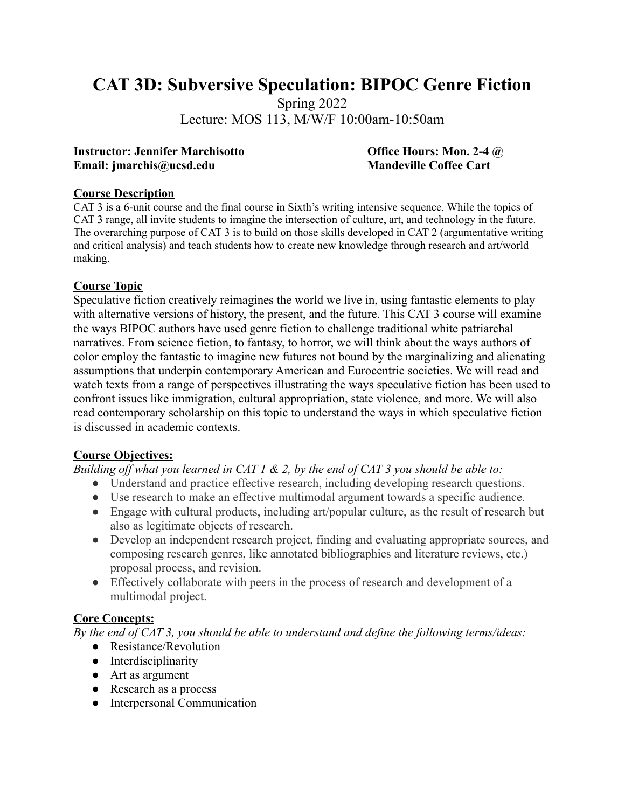# **CAT 3D: Subversive Speculation: BIPOC Genre Fiction**

Spring 2022

Lecture: MOS 113, M/W/F 10:00am-10:50am

#### **Instructor: Jennifer Marchisotto Office Hours: Mon. 2-4 @ Email:** imarchis@ucsd.edu **Mandeville Coffee Cart**

### **Course Description**

CAT 3 is a 6-unit course and the final course in Sixth's writing intensive sequence. While the topics of CAT 3 range, all invite students to imagine the intersection of culture, art, and technology in the future. The overarching purpose of CAT 3 is to build on those skills developed in CAT 2 (argumentative writing and critical analysis) and teach students how to create new knowledge through research and art/world making.

# **Course Topic**

Speculative fiction creatively reimagines the world we live in, using fantastic elements to play with alternative versions of history, the present, and the future. This CAT 3 course will examine the ways BIPOC authors have used genre fiction to challenge traditional white patriarchal narratives. From science fiction, to fantasy, to horror, we will think about the ways authors of color employ the fantastic to imagine new futures not bound by the marginalizing and alienating assumptions that underpin contemporary American and Eurocentric societies. We will read and watch texts from a range of perspectives illustrating the ways speculative fiction has been used to confront issues like immigration, cultural appropriation, state violence, and more. We will also read contemporary scholarship on this topic to understand the ways in which speculative fiction is discussed in academic contexts.

# **Course Objectives:**

*Building off what you learned in CAT 1 & 2, by the end of CAT 3 you should be able to:*

- Understand and practice effective research, including developing research questions.
- Use research to make an effective multimodal argument towards a specific audience.
- Engage with cultural products, including art/popular culture, as the result of research but also as legitimate objects of research.
- Develop an independent research project, finding and evaluating appropriate sources, and composing research genres, like annotated bibliographies and literature reviews, etc.) proposal process, and revision.
- Effectively collaborate with peers in the process of research and development of a multimodal project.

# **Core Concepts:**

*By the end of CAT 3, you should be able to understand and define the following terms/ideas:*

- Resistance/Revolution
- Interdisciplinarity
- Art as argument
- Research as a process
- Interpersonal Communication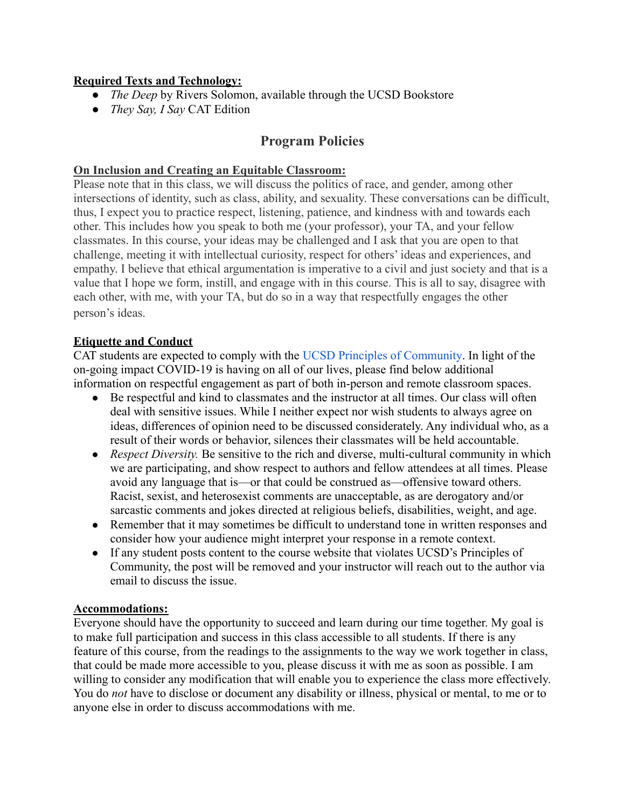# **Required Texts and Technology:**

- *● The Deep* by Rivers Solomon, available through the UCSD Bookstore
- *They Say, I Say* CAT Edition

# **Program Policies**

### **On Inclusion and Creating an Equitable Classroom:**

Please note that in this class, we will discuss the politics of race, and gender, among other intersections of identity, such as class, ability, and sexuality. These conversations can be difficult, thus, I expect you to practice respect, listening, patience, and kindness with and towards each other. This includes how you speak to both me (your professor), your TA, and your fellow classmates. In this course, your ideas may be challenged and I ask that you are open to that challenge, meeting it with intellectual curiosity, respect for others' ideas and experiences, and empathy. I believe that ethical argumentation is imperative to a civil and just society and that is a value that I hope we form, instill, and engage with in this course. This is all to say, disagree with each other, with me, with your TA, but do so in a way that respectfully engages the other person's ideas.

### **Etiquette and Conduct**

CAT students are expected to comply with the UCSD [Principles of Community.](https://ucsd.edu/about/principles.html) In light of the on-going impact COVID-19 is having on all of our lives, please find below additional information on respectful engagement as part of both in-person and remote classroom spaces.

- Be respectful and kind to classmates and the instructor at all times. Our class will often deal with sensitive issues. While I neither expect nor wish students to always agree on ideas, differences of opinion need to be discussed considerately. Any individual who, as a result of their words or behavior, silences their classmates will be held accountable.
- *Respect Diversity.* Be sensitive to the rich and diverse, multi-cultural community in which we are participating, and show respect to authors and fellow attendees at all times. Please avoid any language that is—or that could be construed as—offensive toward others. Racist, sexist, and heterosexist comments are unacceptable, as are derogatory and/or sarcastic comments and jokes directed at religious beliefs, disabilities, weight, and age.
- Remember that it may sometimes be difficult to understand tone in written responses and consider how your audience might interpret your response in a remote context.
- If any student posts content to the course website that violates UCSD's Principles of Community, the post will be removed and your instructor will reach out to the author via email to discuss the issue.

#### **Accommodations:**

Everyone should have the opportunity to succeed and learn during our time together. My goal is to make full participation and success in this class accessible to all students. If there is any feature of this course, from the readings to the assignments to the way we work together in class, that could be made more accessible to you, please discuss it with me as soon as possible. I am willing to consider any modification that will enable you to experience the class more effectively. You do *not* have to disclose or document any disability or illness, physical or mental, to me or to anyone else in order to discuss accommodations with me.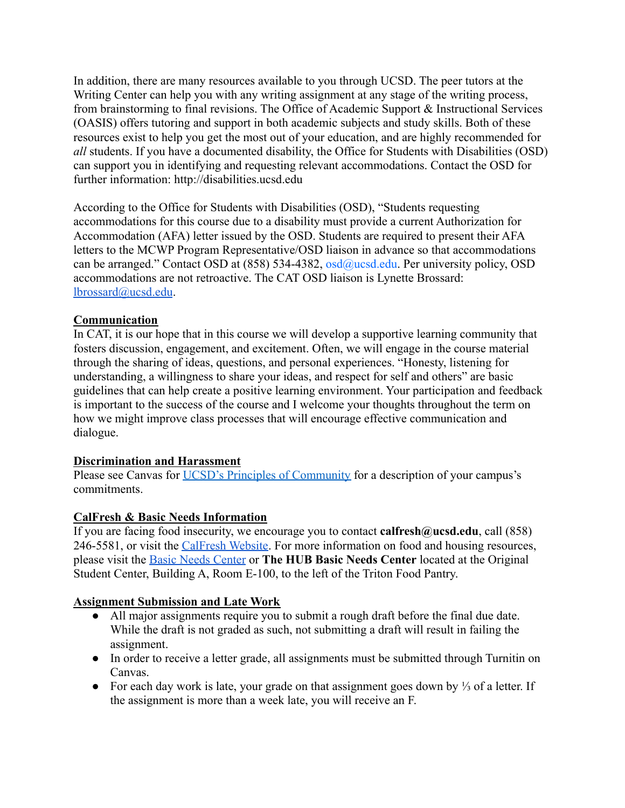In addition, there are many resources available to you through UCSD. The peer tutors at the Writing Center can help you with any writing assignment at any stage of the writing process, from brainstorming to final revisions. The Office of Academic Support & Instructional Services (OASIS) offers tutoring and support in both academic subjects and study skills. Both of these resources exist to help you get the most out of your education, and are highly recommended for *all* students. If you have a documented disability, the Office for Students with Disabilities (OSD) can support you in identifying and requesting relevant accommodations. Contact the OSD for further information: http://disabilities.ucsd.edu

According to the Office for Students with Disabilities (OSD), "Students requesting accommodations for this course due to a disability must provide a current Authorization for Accommodation (AFA) letter issued by the OSD. Students are required to present their AFA letters to the MCWP Program Representative/OSD liaison in advance so that accommodations can be arranged." Contact OSD at (858) 534-4382, osd@ucsd.edu. Per university policy, OSD accommodations are not retroactive. The CAT OSD liaison is Lynette Brossard: [lbrossard@ucsd.edu](mailto:lbrossard@ucsd.edu).

# **Communication**

In CAT, it is our hope that in this course we will develop a supportive learning community that fosters discussion, engagement, and excitement. Often, we will engage in the course material through the sharing of ideas, questions, and personal experiences. "Honesty, listening for understanding, a willingness to share your ideas, and respect for self and others" are basic guidelines that can help create a positive learning environment. Your participation and feedback is important to the success of the course and I welcome your thoughts throughout the term on how we might improve class processes that will encourage effective communication and dialogue.

# **Discrimination and Harassment**

Please see Canvas for [UCSD's Principles of Community](https://ucsd.edu/about/principles.html) for a description of your campus's commitments.

# **CalFresh & Basic Needs Information**

If you are facing food insecurity, we encourage you to contact **calfresh@ucsd.edu**, call (858) 246-5581, or visit the [CalFresh Website](https://basicneeds.ucsd.edu/food-security/calfresh/index.html). For more information on food and housing resources, please visit the [Basic Needs Center](https://basicneeds.ucsd.edu/) or **The HUB Basic Needs Center** located at the Original Student Center, Building A, Room E-100, to the left of the Triton Food Pantry.

# **Assignment Submission and Late Work**

- All major assignments require you to submit a rough draft before the final due date. While the draft is not graded as such, not submitting a draft will result in failing the assignment.
- In order to receive a letter grade, all assignments must be submitted through Turnitin on Canvas.
- For each day work is late, your grade on that assignment goes down by ⅓ of a letter. If the assignment is more than a week late, you will receive an F.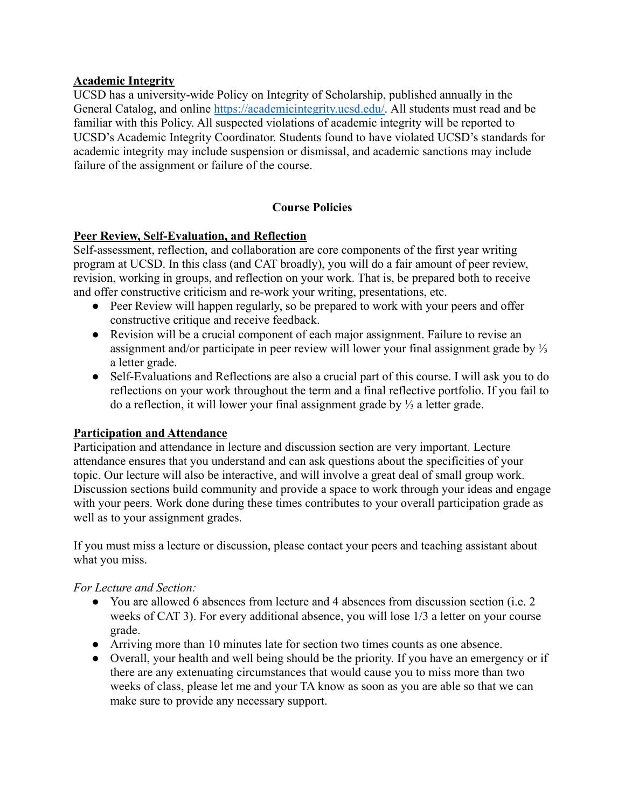# **Academic Integrity**

UCSD has a university-wide Policy on Integrity of Scholarship, published annually in the General Catalog, and online [https://academicintegrity.ucsd.edu/.](https://academicintegrity.ucsd.edu/) All students must read and be familiar with this Policy. All suspected violations of academic integrity will be reported to UCSD's Academic Integrity Coordinator. Students found to have violated UCSD's standards for academic integrity may include suspension or dismissal, and academic sanctions may include failure of the assignment or failure of the course.

### **Course Policies**

### **Peer Review, Self-Evaluation, and Reflection**

Self-assessment, reflection, and collaboration are core components of the first year writing program at UCSD. In this class (and CAT broadly), you will do a fair amount of peer review, revision, working in groups, and reflection on your work. That is, be prepared both to receive and offer constructive criticism and re-work your writing, presentations, etc.

- Peer Review will happen regularly, so be prepared to work with your peers and offer constructive critique and receive feedback.
- Revision will be a crucial component of each major assignment. Failure to revise an assignment and/or participate in peer review will lower your final assignment grade by ⅓ a letter grade.
- Self-Evaluations and Reflections are also a crucial part of this course. I will ask you to do reflections on your work throughout the term and a final reflective portfolio. If you fail to do a reflection, it will lower your final assignment grade by ⅓ a letter grade.

#### **Participation and Attendance**

Participation and attendance in lecture and discussion section are very important. Lecture attendance ensures that you understand and can ask questions about the specificities of your topic. Our lecture will also be interactive, and will involve a great deal of small group work. Discussion sections build community and provide a space to work through your ideas and engage with your peers. Work done during these times contributes to your overall participation grade as well as to your assignment grades.

If you must miss a lecture or discussion, please contact your peers and teaching assistant about what you miss.

#### *For Lecture and Section:*

- You are allowed 6 absences from lecture and 4 absences from discussion section (i.e. 2) weeks of CAT 3). For every additional absence, you will lose 1/3 a letter on your course grade.
- Arriving more than 10 minutes late for section two times counts as one absence.
- Overall, your health and well being should be the priority. If you have an emergency or if there are any extenuating circumstances that would cause you to miss more than two weeks of class, please let me and your TA know as soon as you are able so that we can make sure to provide any necessary support.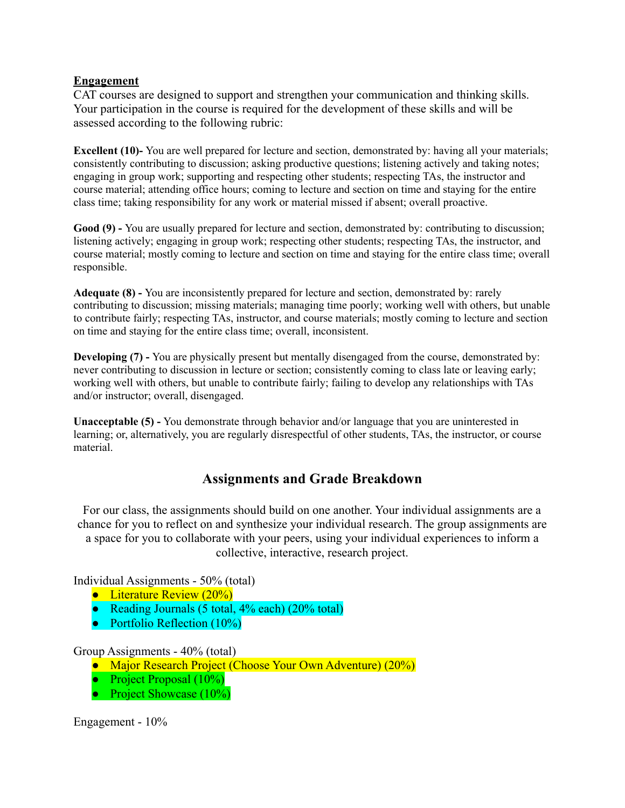### **Engagement**

CAT courses are designed to support and strengthen your communication and thinking skills. Your participation in the course is required for the development of these skills and will be assessed according to the following rubric:

**Excellent** (10)-You are well prepared for lecture and section, demonstrated by: having all your materials; consistently contributing to discussion; asking productive questions; listening actively and taking notes; engaging in group work; supporting and respecting other students; respecting TAs, the instructor and course material; attending office hours; coming to lecture and section on time and staying for the entire class time; taking responsibility for any work or material missed if absent; overall proactive.

**Good (9) -** You are usually prepared for lecture and section, demonstrated by: contributing to discussion; listening actively; engaging in group work; respecting other students; respecting TAs, the instructor, and course material; mostly coming to lecture and section on time and staying for the entire class time; overall responsible.

**Adequate (8) -** You are inconsistently prepared for lecture and section, demonstrated by: rarely contributing to discussion; missing materials; managing time poorly; working well with others, but unable to contribute fairly; respecting TAs, instructor, and course materials; mostly coming to lecture and section on time and staying for the entire class time; overall, inconsistent.

**Developing** (7) **-** You are physically present but mentally disengaged from the course, demonstrated by: never contributing to discussion in lecture or section; consistently coming to class late or leaving early; working well with others, but unable to contribute fairly; failing to develop any relationships with TAs and/or instructor; overall, disengaged.

**Unacceptable (5) -** You demonstrate through behavior and/or language that you are uninterested in learning; or, alternatively, you are regularly disrespectful of other students, TAs, the instructor, or course material.

# **Assignments and Grade Breakdown**

For our class, the assignments should build on one another. Your individual assignments are a chance for you to reflect on and synthesize your individual research. The group assignments are a space for you to collaborate with your peers, using your individual experiences to inform a collective, interactive, research project.

Individual Assignments - 50% (total)

- Literature Review (20%)
- Reading Journals (5 total,  $4\%$  each) (20% total)
- $\bullet$  Portfolio Reflection (10%)

#### Group Assignments - 40% (total)

- Major Research Project (Choose Your Own Adventure) (20%)
- Project Proposal (10%)
- Project Showcase (10%)

Engagement - 10%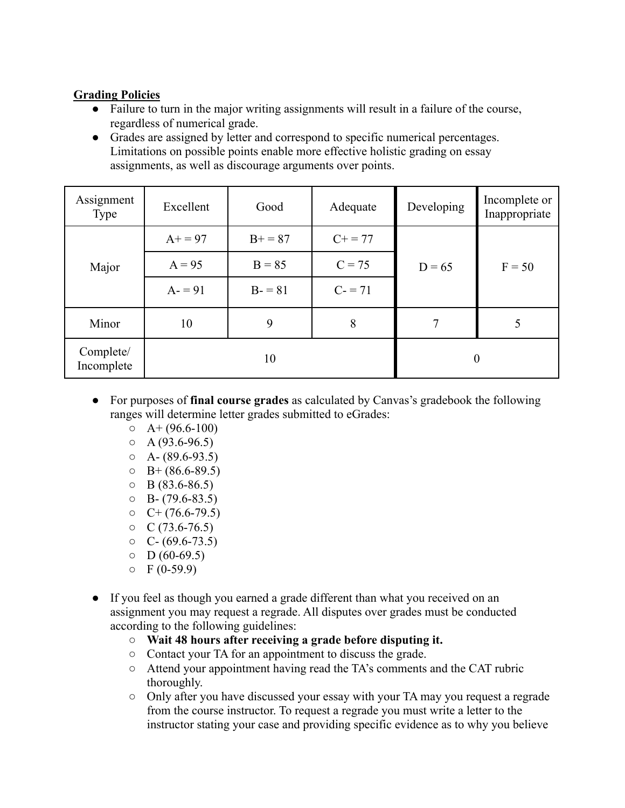# **Grading Policies**

- Failure to turn in the major writing assignments will result in a failure of the course, regardless of numerical grade.
- Grades are assigned by letter and correspond to specific numerical percentages. Limitations on possible points enable more effective holistic grading on essay assignments, as well as discourage arguments over points.

| Assignment<br><b>Type</b> | Excellent | Good      | Adequate     | Developing     | Incomplete or<br>Inappropriate |
|---------------------------|-----------|-----------|--------------|----------------|--------------------------------|
| Major                     | $A+ = 97$ | $B+ = 87$ | $C_{+} = 77$ |                | $F = 50$                       |
|                           | $A = 95$  | $B = 85$  | $C = 75$     | $D = 65$       |                                |
|                           | $A = 91$  | $B - 81$  | $C = 71$     |                |                                |
| Minor                     | 10        | 9         | 8            | 7              | 5                              |
| Complete/<br>Incomplete   | 10        |           |              | $\overline{0}$ |                                |

- For purposes of **final course grades** as calculated by Canvas's gradebook the following ranges will determine letter grades submitted to eGrades:
	- $O \left( A + (96.6 100) \right)$
	- $O \left( \frac{93.6 96.5}{2} \right)$
	- $O \left( A (89.6 93.5) \right)$
	- $O = B + (86.6 89.5)$
	- $O$  B (83.6-86.5)
	- $O$  B- (79.6-83.5)
	- $O \left( + (76.6 79.5) \right)$
	- $O (73.6 76.5)$
	- $O \quad C (69.6 73.5)$
	- $O$  D (60-69.5)
	- $O$  F (0-59.9)
- If you feel as though you earned a grade different than what you received on an assignment you may request a regrade. All disputes over grades must be conducted according to the following guidelines:
	- **○ Wait 48 hours after receiving a grade before disputing it.**
	- Contact your TA for an appointment to discuss the grade.
	- Attend your appointment having read the TA's comments and the CAT rubric thoroughly.
	- Only after you have discussed your essay with your TA may you request a regrade from the course instructor. To request a regrade you must write a letter to the instructor stating your case and providing specific evidence as to why you believe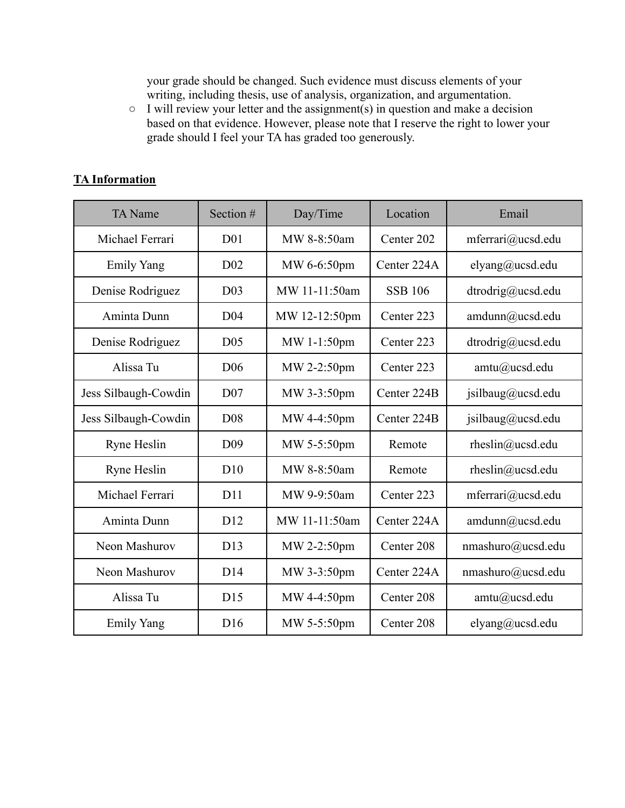your grade should be changed. Such evidence must discuss elements of your writing, including thesis, use of analysis, organization, and argumentation.

 $\circ$  I will review your letter and the assignment(s) in question and make a decision based on that evidence. However, please note that I reserve the right to lower your grade should I feel your TA has graded too generously.

# **TA Information**

| <b>TA</b> Name       | Section #       | Day/Time      | Location       | Email             |
|----------------------|-----------------|---------------|----------------|-------------------|
| Michael Ferrari      | D <sub>01</sub> | MW 8-8:50am   | Center 202     | mferrari@ucsd.edu |
| <b>Emily Yang</b>    | D <sub>02</sub> | MW 6-6:50pm   | Center 224A    | elyang@ucsd.edu   |
| Denise Rodriguez     | D <sub>03</sub> | MW 11-11:50am | <b>SSB 106</b> | dtrodrig@ucsd.edu |
| Aminta Dunn          | D <sub>04</sub> | MW 12-12:50pm | Center 223     | amdunn@ucsd.edu   |
| Denise Rodriguez     | D <sub>05</sub> | MW 1-1:50pm   | Center 223     | dtrodrig@ucsd.edu |
| Alissa Tu            | D <sub>06</sub> | MW 2-2:50pm   | Center 223     | amtu@ucsd.edu     |
| Jess Silbaugh-Cowdin | D <sub>07</sub> | MW 3-3:50pm   | Center 224B    | jsilbaug@ucsd.edu |
| Jess Silbaugh-Cowdin | D <sub>08</sub> | MW 4-4:50pm   | Center 224B    | jsilbaug@ucsd.edu |
| Ryne Heslin          | D <sub>09</sub> | MW 5-5:50pm   | Remote         | rheslin@ucsd.edu  |
| Ryne Heslin          | D10             | MW 8-8:50am   | Remote         | rheslin@ucsd.edu  |
| Michael Ferrari      | D11             | MW 9-9:50am   | Center 223     | mferrari@ucsd.edu |
| Aminta Dunn          | D <sub>12</sub> | MW 11-11:50am | Center 224A    | amdunn@ucsd.edu   |
| Neon Mashurov        | D13             | MW 2-2:50pm   | Center 208     | nmashuro@ucsd.edu |
| Neon Mashurov        | D14             | MW 3-3:50pm   | Center 224A    | nmashuro@ucsd.edu |
| Alissa Tu            | D15             | MW 4-4:50pm   | Center 208     | amtu@ucsd.edu     |
| <b>Emily Yang</b>    | D <sub>16</sub> | MW 5-5:50pm   | Center 208     | elyang@ucsd.edu   |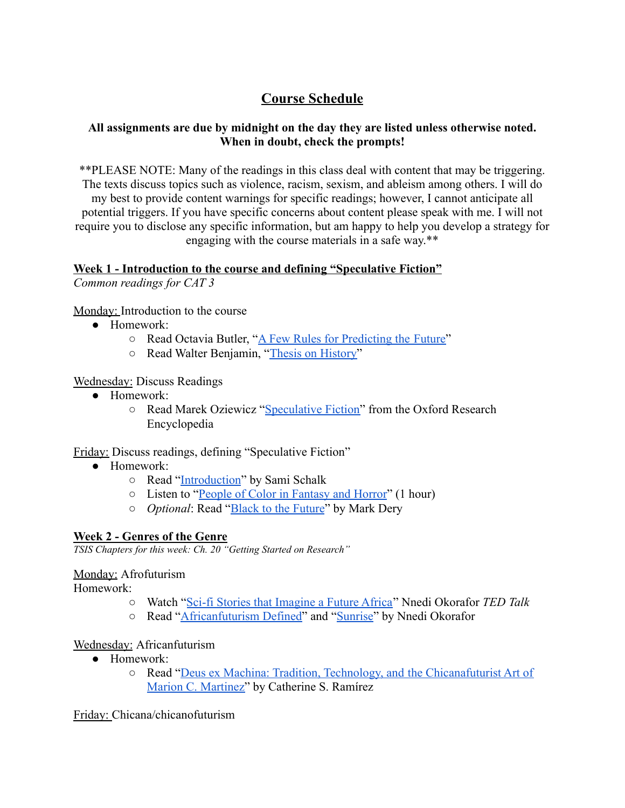# **Course Schedule**

# **All assignments are due by midnight on the day they are listed unless otherwise noted. When in doubt, check the prompts!**

\*\*PLEASE NOTE: Many of the readings in this class deal with content that may be triggering. The texts discuss topics such as violence, racism, sexism, and ableism among others. I will do my best to provide content warnings for specific readings; however, I cannot anticipate all potential triggers. If you have specific concerns about content please speak with me. I will not require you to disclose any specific information, but am happy to help you develop a strategy for engaging with the course materials in a safe way.\*\*

# **Week 1 - Introduction to the course and defining "Speculative Fiction"**

*Common readings for CAT 3*

Monday: Introduction to the course

- Homework:
	- Read Octavia Butler, "[A Few Rules for Predicting the](https://drive.google.com/file/d/1O32pmimj7hZNLNk3HKmAdkdLF0RnzW9W/view?usp=sharing) Future"
	- Read Walter Benjamin, "[Thesis on History"](https://www.marxists.org/reference/archive/benjamin/1940/history.htm)

Wednesday: Discuss Readings

- Homework:
	- Read Marek Oziewicz "[Speculative Fiction"](https://oxfordre.com/literature/view/10.1093/acrefore/9780190201098.001.0001/acrefore-9780190201098-e-78) from the Oxford Research Encyclopedia

Friday: Discuss readings, defining "Speculative Fiction"

- Homework:
	- Read "[Introduction](https://drive.google.com/file/d/1KQbbrnHWmy0oxCcszb8xwSWr4PF82bNG/view?usp=sharing)" by Sami Schalk
	- Listen to "[People of Color in Fantasy and Horror](https://www.youtube.com/watch?v=g_n_r8-BAK4)" (1 hour)
	- *Optional*: Read "[Black to the Future](https://drive.google.com/file/d/1TK1I8IEPB5VsCtk2ihT3W3uVQ17q0gDV/view?usp=sharing)" by Mark Dery

# **Week 2 - Genres of the Genre**

*TSIS Chapters for this week: Ch. 20 "Getting Started on Research"*

Monday: Afrofuturism

Homework:

- Watch "[Sci-fi Stories that Imagine a Future Africa](https://www.ted.com/talks/nnedi_okorafor_sci_fi_stories_that_imagine_a_future_africa?language=en)" Nnedi Okorafor *TED Talk*
- Read "[Africanfuturism Defined"](https://drive.google.com/file/d/1F2l6EOCGAj7f5WADvVgabtVPMdR8gqHr/view?usp=sharing) and "[Sunrise"](https://drive.google.com/file/d/13-H-OgHY35E4ooFJL7OfGz9vBTwiOm5D/view?usp=sharing) by Nnedi Okorafor

# Wednesday: Africanfuturism

- Homework:
	- Read "[Deus ex Machina: Tradition, Technology, and](https://drive.google.com/file/d/1Qoq_cku5bp3j23OE9EfnTligLwqSTRsc/view?usp=sharing) the Chicanafuturist Art of [Marion C. Martinez"](https://drive.google.com/file/d/1Qoq_cku5bp3j23OE9EfnTligLwqSTRsc/view?usp=sharing) by Catherine S. Ramírez

Friday: Chicana/chicanofuturism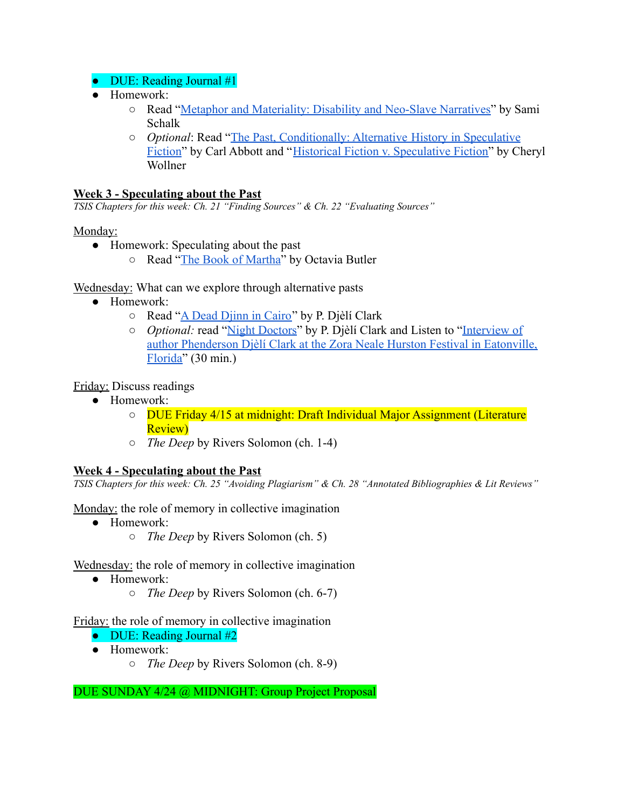# • DUE: Reading Journal #1

- Homework:
	- Read "[Metaphor and Materiality: Disability and Neo-Slave](https://drive.google.com/file/d/1NIx6_Gz3oeLNii4ng4Vz757BDmQby-Oy/view?usp=sharing) Narratives" by Sami Schalk
	- *○ Optional*: Read "[The Past, Conditionally: Alternative](https://www.historians.org/publications-and-directories/perspectives-on-history/january-2016/the-past-conditionally-alternative-history-in-speculative-fiction#:~:text=Alternative%20history%20is%20a%20subgenre,diverge%20from%20its%20known%20course.) History in Speculative [Fiction](https://www.historians.org/publications-and-directories/perspectives-on-history/january-2016/the-past-conditionally-alternative-history-in-speculative-fiction#:~:text=Alternative%20history%20is%20a%20subgenre,diverge%20from%20its%20known%20course.)" by Carl Abbott and "[Historical Fiction v.](https://lunastationquarterly.com/historical-fiction-v-speculative-fiction/) Speculative Fiction" by Cheryl Wollner

### **Week 3 - Speculating about the Past**

*TSIS Chapters for this week: Ch. 21 "Finding Sources" & Ch. 22 "Evaluating Sources"*

#### Monday:

- Homework: Speculating about the past
	- Read "[The Book of Martha](https://drive.google.com/file/d/1USKXkcIqU2U8f3HCXEdtyr5S9qmR_JU2/view?usp=sharing)" by Octavia Butler

Wednesday: What can we explore through alternative pasts

- Homework:
	- Read "[A Dead Djinn in Cairo](https://www.tor.com/2016/05/18/a-dead-djinn-in-cairo/)" by P. Djèlí Clark
	- *Optional:* read "[Night Doctors"](https://www.nightmare-magazine.com/fiction/night-doctors/) by P. Djèlí Clark and Listen to ["Interview of](https://d.lib.msu.edu/vbi/8) [author Phenderson Djèlí Clark at the Zora Neale Hurston Festival in Eatonville,](https://d.lib.msu.edu/vbi/8) [Florida"](https://d.lib.msu.edu/vbi/8) (30 min.)

Friday: Discuss readings

- Homework:
	- DUE Friday 4/15 at midnight: Draft Individual Major Assignment (Literature Review)
	- *The Deep* by Rivers Solomon (ch. 1-4)

#### **Week 4 - Speculating about the Past**

TSIS Chapters for this week: Ch. 25 "Avoiding Plagiarism" & Ch. 28 "Annotated Bibliographies & Lit Reviews"

Monday: the role of memory in collective imagination

- Homework:
	- *The Deep* by Rivers Solomon (ch. 5)

Wednesday: the role of memory in collective imagination

- Homework:
	- *The Deep* by Rivers Solomon (ch. 6-7)

Friday: the role of memory in collective imagination

- $\bullet$  DUE: Reading Journal #2
- Homework:
	- *The Deep* by Rivers Solomon (ch. 8-9)

DUE SUNDAY 4/24 @ MIDNIGHT: Group Project Proposal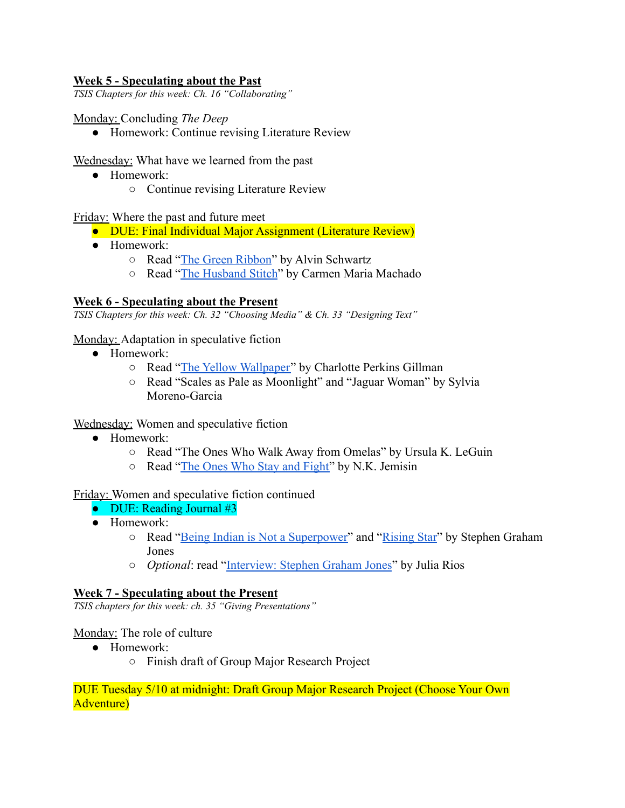### **Week 5 - Speculating about the Past**

*TSIS Chapters for this week: Ch. 16 "Collaborating"*

#### Monday: Concluding *The Deep*

● Homework: Continue revising Literature Review

Wednesday: What have we learned from the past

- Homework:
	- Continue revising Literature Review

Friday: Where the past and future meet

- DUE: Final Individual Major Assignment (Literature Review)
- Homework:
	- Read "[The Green Ribbon](https://drive.google.com/file/d/1jLXEl_M_RNTBPu1OgSQTzxKhSGmFIbB3/view?usp=sharing)" by Alvin Schwartz
	- Read "[The Husband Stitch](https://granta.com/The-Husband-Stitch/)" by Carmen Maria Machado

#### **Week 6 - Speculating about the Present**

*TSIS Chapters for this week: Ch. 32 "Choosing Media" & Ch. 33 "Designing Text"*

Monday: Adaptation in speculative fiction

- Homework:
	- Read "[The Yellow Wallpaper"](https://drive.google.com/file/d/1OUiBgfkG_5gz7UTAlzWioOkmgDAXC9eF/view?usp=sharing) by Charlotte Perkins Gillman
	- Read "Scales as Pale as Moonlight" and "Jaguar Woman" by Sylvia Moreno-Garcia

Wednesday: Women and speculative fiction

- Homework:
	- Read "The Ones Who Walk Away from Omelas" by Ursula K. LeGuin
	- Read "[The Ones Who Stay and Fight"](https://www.lightspeedmagazine.com/fiction/the-ones-who-stay-and-fight/) by N.K. Jemisin

Friday: Women and speculative fiction continued

- $\bullet$  DUE: Reading Journal #3
- Homework:
	- Read "[Being Indian is Not a Superpower"](https://electricliterature.com/being-indian-is-not-a-superpower/) and "[Rising](https://uncannymagazine.com/article/rising-star/) Star" by Stephen Graham Jones
	- *○ Optional*: read "[Interview: Stephen Graham Jones](https://uncannymagazine.com/article/interview-stephen-graham-jones/)" by Julia Rios

#### **Week 7 - Speculating about the Present**

*TSIS chapters for this week: ch. 35 "Giving Presentations"*

Monday: The role of culture

- Homework:
	- Finish draft of Group Major Research Project

#### DUE Tuesday 5/10 at midnight: Draft Group Major Research Project (Choose Your Own Adventure)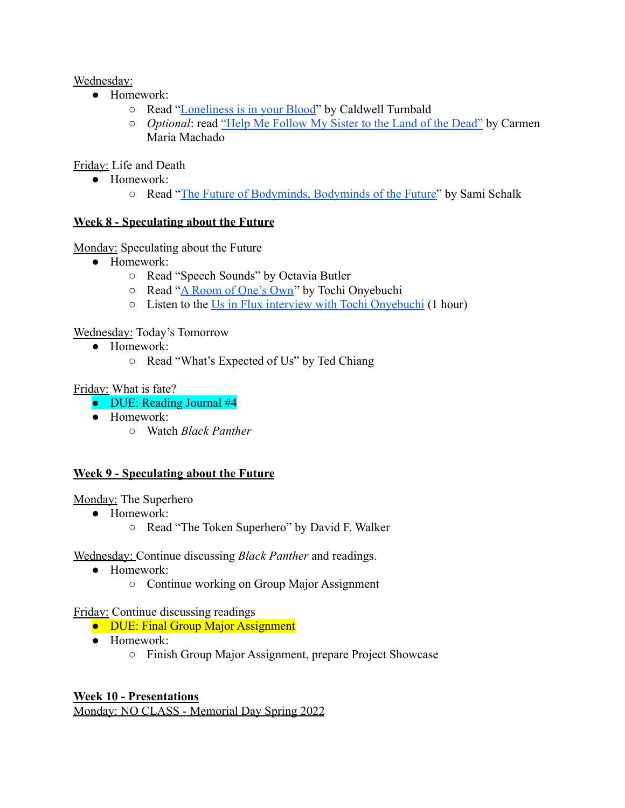Wednesday:

- Homework:
	- Read "[Loneliness is in your Blood"](http://www.nightmare-magazine.com/fiction/loneliness-is-in-your-blood/) by Caldwell Turnbald
	- *Optional*: read ["Help Me Follow My Sister to the Land](http://www.lightspeedmagazine.com/fiction/help-follow-sister-land-dead/) of the Dead" by Carmen Maria Machado

Friday: Life and Death

- Homework:
	- Read "[The Future of Bodyminds, Bodyminds of the Future"](https://drive.google.com/file/d/1MISZH4SuIzafpnKDpRWbWxQQmbUjZjFh/view?usp=sharing) by Sami Schalk

# **Week 8 - Speculating about the Future**

Monday: Speculating about the Future

- Homework:
	- Read "Speech Sounds" by Octavia Butler
	- Read "[A Room of One's Own](https://csi.asu.edu/story/tochi-onyebuchi-uif/)" by Tochi Onyebuchi
	- Listen to the [Us in Flux interview with Tochi Onyebuchi](https://www.youtube.com/watch?v=G6Jk_4JZNxw&t=3s) (1 hour)

# Wednesday: Today's Tomorrow

- Homework:
	- Read "What's Expected of Us" by Ted Chiang

Friday: What is fate?

- DUE: Reading Journal #4
- Homework:
	- Watch *Black Panther*

# **Week 9 - Speculating about the Future**

Monday: The Superhero

- Homework:
	- Read "The Token Superhero" by David F. Walker

Wednesday: Continue discussing *Black Panther* and readings.

- Homework:
	- Continue working on Group Major Assignment

# Friday: Continue discussing readings

- DUE: Final Group Major Assignment
- Homework:
	- Finish Group Major Assignment, prepare Project Showcase

# **Week 10 - Presentations**

Monday: NO CLASS - Memorial Day Spring 2022